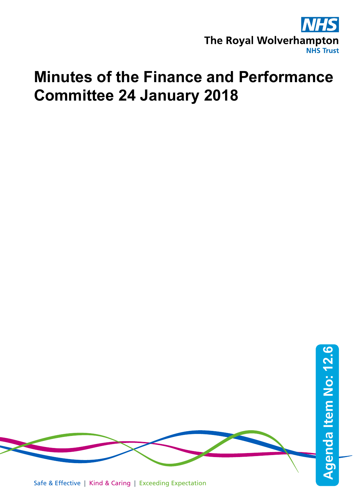

## **Minutes of the Finance and Performance Committee 24 January 2018**

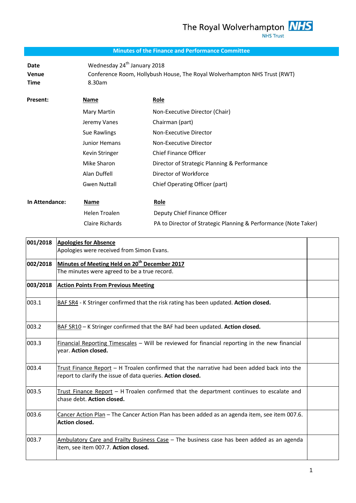The Royal Wolverhampton **NHS NHS Trust** 

## **Minutes of the Finance and Performance Committee**

**Date** Wednesday 24<sup>th</sup> January 2018 **Venue** Conference Room, Hollybush House, The Royal Wolverhampton NHS Trust (RWT) **Time** 8.30am

| Present:       | <b>Name</b>          | Role                                         |
|----------------|----------------------|----------------------------------------------|
|                | Mary Martin          | Non-Executive Director (Chair)               |
|                | Jeremy Vanes         | Chairman (part)                              |
|                | Sue Rawlings         | Non-Executive Director                       |
|                | <b>Junior Hemans</b> | Non-Executive Director                       |
|                | Kevin Stringer       | <b>Chief Finance Officer</b>                 |
|                | Mike Sharon          | Director of Strategic Planning & Performance |
|                | Alan Duffell         | Director of Workforce                        |
|                | <b>Gwen Nuttall</b>  | Chief Operating Officer (part)               |
|                |                      |                                              |
| In Attendance: | Name                 | Role                                         |
|                | Helen Troalen        | Deputy Chief Finance Officer                 |

| 001/2018 | <b>Apologies for Absence</b>                                                                                                                              |  |
|----------|-----------------------------------------------------------------------------------------------------------------------------------------------------------|--|
|          | Apologies were received from Simon Evans.                                                                                                                 |  |
| 002/2018 | Minutes of Meeting Held on 20 <sup>th</sup> December 2017                                                                                                 |  |
|          | The minutes were agreed to be a true record.                                                                                                              |  |
| 003/2018 | <b>Action Points From Previous Meeting</b>                                                                                                                |  |
| 003.1    | BAF SR4 - K Stringer confirmed that the risk rating has been updated. Action closed.                                                                      |  |
| 003.2    | BAF SR10 - K Stringer confirmed that the BAF had been updated. Action closed.                                                                             |  |
| 003.3    | Financial Reporting Timescales - Will be reviewed for financial reporting in the new financial<br>year. Action closed.                                    |  |
| 003.4    | Trust Finance Report - H Troalen confirmed that the narrative had been added back into the<br>report to clarify the issue of data queries. Action closed. |  |
| 003.5    | Trust Finance Report - H Troalen confirmed that the department continues to escalate and<br>chase debt. Action closed.                                    |  |
| 003.6    | Cancer Action Plan - The Cancer Action Plan has been added as an agenda item, see item 007.6.<br>Action closed.                                           |  |
| 003.7    | Ambulatory Care and Frailty Business Case - The business case has been added as an agenda<br>item, see item 007.7. Action closed.                         |  |

Claire Richards PA to Director of Strategic Planning & Performance (Note Taker)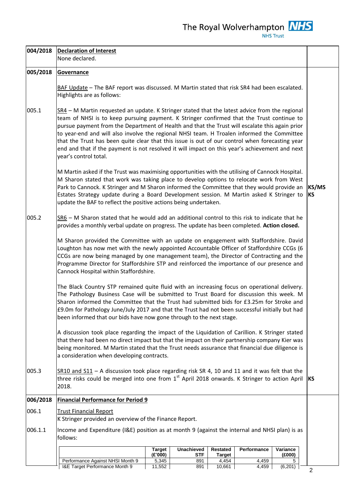| 004/2018 | <b>Declaration of Interest</b><br>None declared.                                                                                                                                                                                                                                                                                                                                                                                                                                                                                                                                                                          |                    |
|----------|---------------------------------------------------------------------------------------------------------------------------------------------------------------------------------------------------------------------------------------------------------------------------------------------------------------------------------------------------------------------------------------------------------------------------------------------------------------------------------------------------------------------------------------------------------------------------------------------------------------------------|--------------------|
| 005/2018 | Governance                                                                                                                                                                                                                                                                                                                                                                                                                                                                                                                                                                                                                |                    |
|          | BAF Update - The BAF report was discussed. M Martin stated that risk SR4 had been escalated.<br>Highlights are as follows:                                                                                                                                                                                                                                                                                                                                                                                                                                                                                                |                    |
| 005.1    | SR4 - M Martin requested an update. K Stringer stated that the latest advice from the regional<br>team of NHSI is to keep pursuing payment. K Stringer confirmed that the Trust continue to<br>pursue payment from the Department of Health and that the Trust will escalate this again prior<br>to year-end and will also involve the regional NHSI team. H Troalen informed the Committee<br>that the Trust has been quite clear that this issue is out of our control when forecasting year<br>end and that if the payment is not resolved it will impact on this year's achievement and next<br>year's control total. |                    |
|          | M Martin asked if the Trust was maximising opportunities with the utilising of Cannock Hospital.<br>M Sharon stated that work was taking place to develop options to relocate work from West<br>Park to Cannock. K Stringer and M Sharon informed the Committee that they would provide an<br>Estates Strategy update during a Board Development session. M Martin asked K Stringer to<br>update the BAF to reflect the positive actions being undertaken.                                                                                                                                                                | KS/MS<br><b>KS</b> |
| 005.2    | SR6 - M Sharon stated that he would add an additional control to this risk to indicate that he<br>provides a monthly verbal update on progress. The update has been completed. Action closed.                                                                                                                                                                                                                                                                                                                                                                                                                             |                    |
|          | M Sharon provided the Committee with an update on engagement with Staffordshire. David<br>Loughton has now met with the newly appointed Accountable Officer of Staffordshire CCGs (6<br>CCGs are now being managed by one management team), the Director of Contracting and the<br>Programme Director for Staffordshire STP and reinforced the importance of our presence and<br>Cannock Hospital within Staffordshire.                                                                                                                                                                                                   |                    |
|          | The Black Country STP remained quite fluid with an increasing focus on operational delivery.<br>The Pathology Business Case will be submitted to Trust Board for discussion this week. M<br>Sharon informed the Committee that the Trust had submitted bids for £3.25m for Stroke and<br>£9.0m for Pathology June/July 2017 and that the Trust had not been successful initially but had<br>been informed that our bids have now gone through to the next stage.                                                                                                                                                          |                    |
|          | A discussion took place regarding the impact of the Liquidation of Carillion. K Stringer stated<br>that there had been no direct impact but that the impact on their partnership company Kier was<br>being monitored. M Martin stated that the Trust needs assurance that financial due diligence is<br>a consideration when developing contracts.                                                                                                                                                                                                                                                                        |                    |
| 005.3    | $SR10$ and $S11 - A$ discussion took place regarding risk SR 4, 10 and 11 and it was felt that the<br>three risks could be merged into one from 1 <sup>st</sup> April 2018 onwards. K Stringer to action April<br>2018.                                                                                                                                                                                                                                                                                                                                                                                                   | <b>IKS</b>         |
| 006/2018 | <b>Financial Performance for Period 9</b>                                                                                                                                                                                                                                                                                                                                                                                                                                                                                                                                                                                 |                    |
| 006.1    | <b>Trust Financial Report</b><br>K Stringer provided an overview of the Finance Report.                                                                                                                                                                                                                                                                                                                                                                                                                                                                                                                                   |                    |
| 006.1.1  | Income and Expenditure (I&E) position as at month 9 (against the internal and NHSI plan) is as<br>follows:                                                                                                                                                                                                                                                                                                                                                                                                                                                                                                                |                    |
|          | Unachieved<br>Performance<br>Variance<br><b>Target</b><br>Restated<br>(E'000)<br><b>STF</b><br>(E000)<br><b>Target</b>                                                                                                                                                                                                                                                                                                                                                                                                                                                                                                    |                    |
|          | Performance Against NHSI Month 9<br>5,345<br>891<br>4,454<br>4,459<br>5<br>I&E Target Performance Month 9<br>10,661<br>(6,201)<br>11,552<br>4,459<br>891                                                                                                                                                                                                                                                                                                                                                                                                                                                                  | $\overline{2}$     |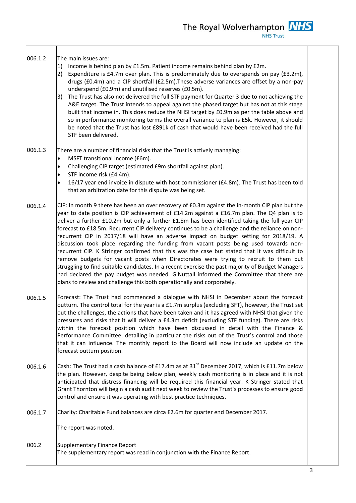| 006.1.2 | The main issues are:<br>Income is behind plan by £1.5m. Patient income remains behind plan by £2m.<br>1)<br>Expenditure is £4.7m over plan. This is predominately due to overspends on pay (£3.2m),<br>2)<br>drugs (£0.4m) and a CIP shortfall (£2.5m). These adverse variances are offset by a non-pay<br>underspend (£0.9m) and unutilised reserves (£0.5m).<br>The Trust has also not delivered the full STF payment for Quarter 3 due to not achieving the<br>3)<br>A&E target. The Trust intends to appeal against the phased target but has not at this stage<br>built that income in. This does reduce the NHSI target by £0.9m as per the table above and<br>so in performance monitoring terms the overall variance to plan is £5k. However, it should<br>be noted that the Trust has lost £891k of cash that would have been received had the full<br>STF been delivered.                                                                                                                                                                      |  |
|---------|----------------------------------------------------------------------------------------------------------------------------------------------------------------------------------------------------------------------------------------------------------------------------------------------------------------------------------------------------------------------------------------------------------------------------------------------------------------------------------------------------------------------------------------------------------------------------------------------------------------------------------------------------------------------------------------------------------------------------------------------------------------------------------------------------------------------------------------------------------------------------------------------------------------------------------------------------------------------------------------------------------------------------------------------------------|--|
| 006.1.3 | There are a number of financial risks that the Trust is actively managing:<br>MSFT transitional income (£6m).<br>$\bullet$<br>Challenging CIP target (estimated £9m shortfall against plan).<br>$\bullet$<br>STF income risk (£4.4m).<br>$\bullet$<br>16/17 year end invoice in dispute with host commissioner (£4.8m). The Trust has been told<br>$\bullet$<br>that an arbitration date for this dispute was being set.                                                                                                                                                                                                                                                                                                                                                                                                                                                                                                                                                                                                                                 |  |
| 006.1.4 | CIP: In month 9 there has been an over recovery of £0.3m against the in-month CIP plan but the<br>year to date position is CIP achievement of £14.2m against a £16.7m plan. The Q4 plan is to<br>deliver a further £10.2m but only a further £1.8m has been identified taking the full year CIP<br>forecast to £18.5m. Recurrent CIP delivery continues to be a challenge and the reliance on non-<br>recurrent CIP in 2017/18 will have an adverse impact on budget setting for 2018/19. A<br>discussion took place regarding the funding from vacant posts being used towards non-<br>recurrent CIP. K Stringer confirmed that this was the case but stated that it was difficult to<br>remove budgets for vacant posts when Directorates were trying to recruit to them but<br>struggling to find suitable candidates. In a recent exercise the past majority of Budget Managers<br>had declared the pay budget was needed. G Nuttall informed the Committee that there are<br>plans to review and challenge this both operationally and corporately. |  |
| 006.1.5 | Forecast: The Trust had commenced a dialogue with NHSI in December about the forecast<br>outturn. The control total for the year is a £1.7m surplus (excluding SFT), however, the Trust set<br>out the challenges, the actions that have been taken and it has agreed with NHSI that given the<br>pressures and risks that it will deliver a £4.3m deficit (excluding STF funding). There are risks<br>within the forecast position which have been discussed in detail with the Finance &<br>Performance Committee, detailing in particular the risks out of the Trust's control and those<br>that it can influence. The monthly report to the Board will now include an update on the<br>forecast outturn position.                                                                                                                                                                                                                                                                                                                                    |  |
| 006.1.6 | Cash: The Trust had a cash balance of £17.4m as at 31 <sup>st</sup> December 2017, which is £11.7m below<br>the plan. However, despite being below plan, weekly cash monitoring is in place and it is not<br>anticipated that distress financing will be required this financial year. K Stringer stated that<br>Grant Thornton will begin a cash audit next week to review the Trust's processes to ensure good<br>control and ensure it was operating with best practice techniques.                                                                                                                                                                                                                                                                                                                                                                                                                                                                                                                                                                   |  |
| 006.1.7 | Charity: Charitable Fund balances are circa £2.6m for quarter end December 2017.<br>The report was noted.                                                                                                                                                                                                                                                                                                                                                                                                                                                                                                                                                                                                                                                                                                                                                                                                                                                                                                                                                |  |
| 006.2   | Supplementary Finance Report<br>The supplementary report was read in conjunction with the Finance Report.                                                                                                                                                                                                                                                                                                                                                                                                                                                                                                                                                                                                                                                                                                                                                                                                                                                                                                                                                |  |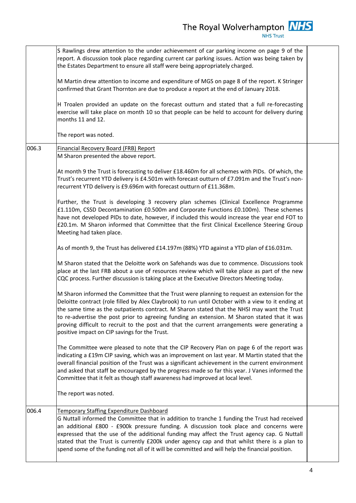|       | S Rawlings drew attention to the under achievement of car parking income on page 9 of the<br>report. A discussion took place regarding current car parking issues. Action was being taken by<br>the Estates Department to ensure all staff were being appropriately charged.<br>M Martin drew attention to income and expenditure of MGS on page 8 of the report. K Stringer<br>confirmed that Grant Thornton are due to produce a report at the end of January 2018.<br>H Troalen provided an update on the forecast outturn and stated that a full re-forecasting<br>exercise will take place on month 10 so that people can be held to account for delivery during<br>months 11 and 12.<br>The report was noted. |  |
|-------|---------------------------------------------------------------------------------------------------------------------------------------------------------------------------------------------------------------------------------------------------------------------------------------------------------------------------------------------------------------------------------------------------------------------------------------------------------------------------------------------------------------------------------------------------------------------------------------------------------------------------------------------------------------------------------------------------------------------|--|
| 006.3 | <b>Financial Recovery Board (FRB) Report</b>                                                                                                                                                                                                                                                                                                                                                                                                                                                                                                                                                                                                                                                                        |  |
|       | M Sharon presented the above report.                                                                                                                                                                                                                                                                                                                                                                                                                                                                                                                                                                                                                                                                                |  |
|       | At month 9 the Trust is forecasting to deliver £18.460m for all schemes with PIDs. Of which, the<br>Trust's recurrent YTD delivery is £4.501m with forecast outturn of £7.091m and the Trust's non-<br>recurrent YTD delivery is £9.696m with forecast outturn of £11.368m.<br>Further, the Trust is developing 3 recovery plan schemes (Clinical Excellence Programme                                                                                                                                                                                                                                                                                                                                              |  |
|       | £1.110m, CSSD Decontamination £0.500m and Corporate Functions £0.100m). These schemes<br>have not developed PIDs to date, however, if included this would increase the year end FOT to<br>£20.1m. M Sharon informed that Committee that the first Clinical Excellence Steering Group<br>Meeting had taken place.                                                                                                                                                                                                                                                                                                                                                                                                    |  |
|       | As of month 9, the Trust has delivered £14.197m (88%) YTD against a YTD plan of £16.031m.                                                                                                                                                                                                                                                                                                                                                                                                                                                                                                                                                                                                                           |  |
|       | M Sharon stated that the Deloitte work on Safehands was due to commence. Discussions took<br>place at the last FRB about a use of resources review which will take place as part of the new<br>CQC process. Further discussion is taking place at the Executive Directors Meeting today.                                                                                                                                                                                                                                                                                                                                                                                                                            |  |
|       | M Sharon informed the Committee that the Trust were planning to request an extension for the<br>Deloitte contract (role filled by Alex Claybrook) to run until October with a view to it ending at<br>the same time as the outpatients contract. M Sharon stated that the NHSI may want the Trust<br>to re-advertise the post prior to agreeing funding an extension. M Sharon stated that it was<br>proving difficult to recruit to the post and that the current arrangements were generating a<br>positive impact on CIP savings for the Trust.                                                                                                                                                                  |  |
|       | The Committee were pleased to note that the CIP Recovery Plan on page 6 of the report was<br>indicating a £19m CIP saving, which was an improvement on last year. M Martin stated that the<br>overall financial position of the Trust was a significant achievement in the current environment<br>and asked that staff be encouraged by the progress made so far this year. J Vanes informed the<br>Committee that it felt as though staff awareness had improved at local level.                                                                                                                                                                                                                                   |  |
|       | The report was noted.                                                                                                                                                                                                                                                                                                                                                                                                                                                                                                                                                                                                                                                                                               |  |
| 006.4 | <b>Temporary Staffing Expenditure Dashboard</b><br>G Nuttall informed the Committee that in addition to tranche 1 funding the Trust had received<br>an additional £800 - £900k pressure funding. A discussion took place and concerns were<br>expressed that the use of the additional funding may affect the Trust agency cap. G Nuttall<br>stated that the Trust is currently £200k under agency cap and that whilst there is a plan to<br>spend some of the funding not all of it will be committed and will help the financial position.                                                                                                                                                                        |  |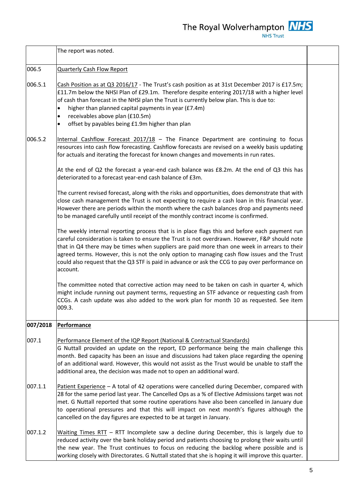|          | The report was noted.                                                                                                                                                                                                                                                                                                                                                                                                                                                                                          |  |
|----------|----------------------------------------------------------------------------------------------------------------------------------------------------------------------------------------------------------------------------------------------------------------------------------------------------------------------------------------------------------------------------------------------------------------------------------------------------------------------------------------------------------------|--|
| 006.5    | <b>Quarterly Cash Flow Report</b>                                                                                                                                                                                                                                                                                                                                                                                                                                                                              |  |
| 006.5.1  | Cash Position as at Q3 2016/17 - The Trust's cash position as at 31st December 2017 is £17.5m;<br>£11.7m below the NHSI Plan of £29.1m. Therefore despite entering 2017/18 with a higher level<br>of cash than forecast in the NHSI plan the Trust is currently below plan. This is due to:<br>higher than planned capital payments in year (£7.4m)<br>$\bullet$<br>receivables above plan (£10.5m)<br>$\bullet$<br>offset by payables being £1.9m higher than plan<br>$\bullet$                               |  |
| 006.5.2  | Internal Cashflow Forecast $2017/18$ - The Finance Department are continuing to focus<br>resources into cash flow forecasting. Cashflow forecasts are revised on a weekly basis updating<br>for actuals and iterating the forecast for known changes and movements in run rates.                                                                                                                                                                                                                               |  |
|          | At the end of Q2 the forecast a year-end cash balance was £8.2m. At the end of Q3 this has<br>deteriorated to a forecast year-end cash balance of £3m.                                                                                                                                                                                                                                                                                                                                                         |  |
|          | The current revised forecast, along with the risks and opportunities, does demonstrate that with<br>close cash management the Trust is not expecting to require a cash loan in this financial year.<br>However there are periods within the month where the cash balances drop and payments need<br>to be managed carefully until receipt of the monthly contract income is confirmed.                                                                                                                         |  |
|          | The weekly internal reporting process that is in place flags this and before each payment run<br>careful consideration is taken to ensure the Trust is not overdrawn. However, F&P should note<br>that in Q4 there may be times when suppliers are paid more than one week in arrears to their<br>agreed terms. However, this is not the only option to managing cash flow issues and the Trust<br>could also request that the Q3 STF is paid in advance or ask the CCG to pay over performance on<br>account. |  |
|          | The committee noted that corrective action may need to be taken on cash in quarter 4, which<br>might include running out payment terms, requesting an STF advance or requesting cash from<br>CCGs. A cash update was also added to the work plan for month 10 as requested. See item<br>009.3.                                                                                                                                                                                                                 |  |
| 007/2018 | <b>Performance</b>                                                                                                                                                                                                                                                                                                                                                                                                                                                                                             |  |
| 007.1    | Performance Element of the IQP Report (National & Contractual Standards)<br>G Nuttall provided an update on the report, ED performance being the main challenge this<br>month. Bed capacity has been an issue and discussions had taken place regarding the opening<br>of an additional ward. However, this would not assist as the Trust would be unable to staff the<br>additional area, the decision was made not to open an additional ward.                                                               |  |
| 007.1.1  | Patient Experience - A total of 42 operations were cancelled during December, compared with<br>28 for the same period last year. The Cancelled Ops as a % of Elective Admissions target was not<br>met. G Nuttall reported that some routine operations have also been cancelled in January due<br>to operational pressures and that this will impact on next month's figures although the<br>cancelled on the day figures are expected to be at target in January.                                            |  |
| 007.1.2  | Waiting Times RTT - RTT Incomplete saw a decline during December, this is largely due to<br>reduced activity over the bank holiday period and patients choosing to prolong their waits until<br>the new year. The Trust continues to focus on reducing the backlog where possible and is<br>working closely with Directorates. G Nuttall stated that she is hoping it will improve this quarter.                                                                                                               |  |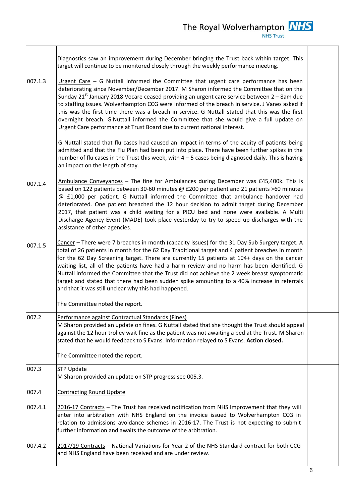|         | Diagnostics saw an improvement during December bringing the Trust back within target. This<br>target will continue to be monitored closely through the weekly performance meeting.                                                                                                                                                                                                                                                                                                                                                                                                                                                                                   |  |
|---------|----------------------------------------------------------------------------------------------------------------------------------------------------------------------------------------------------------------------------------------------------------------------------------------------------------------------------------------------------------------------------------------------------------------------------------------------------------------------------------------------------------------------------------------------------------------------------------------------------------------------------------------------------------------------|--|
| 007.1.3 | Urgent Care $-$ G Nuttall informed the Committee that urgent care performance has been<br>deteriorating since November/December 2017. M Sharon informed the Committee that on the<br>Sunday $21^{st}$ January 2018 Vocare ceased providing an urgent care service between $2 - 8$ am due<br>to staffing issues. Wolverhampton CCG were informed of the breach in service. J Vanes asked if<br>this was the first time there was a breach in service. G Nuttall stated that this was the first<br>overnight breach. G Nuttall informed the Committee that she would give a full update on<br>Urgent Care performance at Trust Board due to current national interest. |  |
|         | G Nuttall stated that flu cases had caused an impact in terms of the acuity of patients being<br>admitted and that the Flu Plan had been put into place. There have been further spikes in the<br>number of flu cases in the Trust this week, with $4 - 5$ cases being diagnosed daily. This is having<br>an impact on the length of stay.                                                                                                                                                                                                                                                                                                                           |  |
| 007.1.4 | Ambulance Conveyances - The fine for Ambulances during December was £45,400k. This is<br>based on 122 patients between 30-60 minutes @ £200 per patient and 21 patients >60 minutes<br>@ £1,000 per patient. G Nuttall informed the Committee that ambulance handover had<br>deteriorated. One patient breached the 12 hour decision to admit target during December<br>2017, that patient was a child waiting for a PICU bed and none were available. A Multi<br>Discharge Agency Event (MADE) took place yesterday to try to speed up discharges with the<br>assistance of other agencies.                                                                         |  |
| 007.1.5 | Cancer - There were 7 breaches in month (capacity issues) for the 31 Day Sub Surgery target. A<br>total of 26 patients in month for the 62 Day Traditional target and 4 patient breaches in month<br>for the 62 Day Screening target. There are currently 15 patients at 104+ days on the cancer<br>waiting list, all of the patients have had a harm review and no harm has been identified. G<br>Nuttall informed the Committee that the Trust did not achieve the 2 week breast symptomatic<br>target and stated that there had been sudden spike amounting to a 40% increase in referrals<br>and that it was still unclear why this had happened.                |  |
|         | The Committee noted the report.                                                                                                                                                                                                                                                                                                                                                                                                                                                                                                                                                                                                                                      |  |
| 007.2   | Performance against Contractual Standards (Fines)<br>M Sharon provided an update on fines. G Nuttall stated that she thought the Trust should appeal<br>against the 12 hour trolley wait fine as the patient was not awaiting a bed at the Trust. M Sharon<br>stated that he would feedback to S Evans. Information relayed to S Evans. Action closed.                                                                                                                                                                                                                                                                                                               |  |
|         | The Committee noted the report.                                                                                                                                                                                                                                                                                                                                                                                                                                                                                                                                                                                                                                      |  |
| 007.3   | <b>STP Update</b><br>M Sharon provided an update on STP progress see 005.3.                                                                                                                                                                                                                                                                                                                                                                                                                                                                                                                                                                                          |  |
| 007.4   | <b>Contracting Round Update</b>                                                                                                                                                                                                                                                                                                                                                                                                                                                                                                                                                                                                                                      |  |
| 007.4.1 | 2016-17 Contracts - The Trust has received notification from NHS Improvement that they will<br>enter into arbitration with NHS England on the invoice issued to Wolverhampton CCG in<br>relation to admissions avoidance schemes in 2016-17. The Trust is not expecting to submit<br>further information and awaits the outcome of the arbitration.                                                                                                                                                                                                                                                                                                                  |  |
| 007.4.2 | 2017/19 Contracts - National Variations for Year 2 of the NHS Standard contract for both CCG<br>and NHS England have been received and are under review.                                                                                                                                                                                                                                                                                                                                                                                                                                                                                                             |  |

 $\sqrt{ }$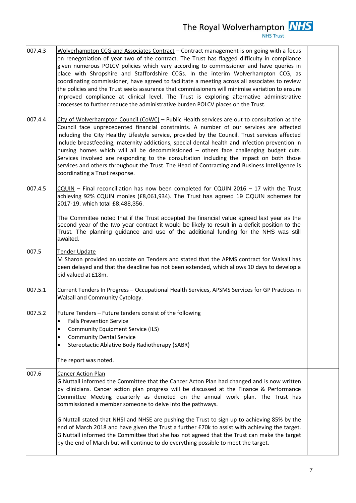| 007.4.3 | Wolverhampton CCG and Associates Contract - Contract management is on-going with a focus<br>on renegotiation of year two of the contract. The Trust has flagged difficulty in compliance<br>given numerous POLCV policies which vary according to commissioner and have queries in<br>place with Shropshire and Staffordshire CCGs. In the interim Wolverhampton CCG, as<br>coordinating commissioner, have agreed to facilitate a meeting across all associates to review<br>the policies and the Trust seeks assurance that commissioners will minimise variation to ensure<br>improved compliance at clinical level. The Trust is exploring alternative administrative<br>processes to further reduce the administrative burden POLCV places on the Trust. |  |
|---------|---------------------------------------------------------------------------------------------------------------------------------------------------------------------------------------------------------------------------------------------------------------------------------------------------------------------------------------------------------------------------------------------------------------------------------------------------------------------------------------------------------------------------------------------------------------------------------------------------------------------------------------------------------------------------------------------------------------------------------------------------------------|--|
| 007.4.4 | City of Wolverhampton Council $(CoWC)$ – Public Health services are out to consultation as the<br>Council face unprecedented financial constraints. A number of our services are affected<br>including the City Healthy Lifestyle service, provided by the Council. Trust services affected<br>include breastfeeding, maternity addictions, special dental health and Infection prevention in<br>nursing homes which will all be decommissioned - others face challenging budget cuts.<br>Services involved are responding to the consultation including the impact on both those<br>services and others throughout the Trust. The Head of Contracting and Business Intelligence is<br>coordinating a Trust response.                                         |  |
| 007.4.5 | $CQUIN$ – Final reconciliation has now been completed for CQUIN 2016 – 17 with the Trust<br>achieving 92% CQUIN monies (£8,061,934). The Trust has agreed 19 CQUIN schemes for<br>2017-19, which total £8,488,356.                                                                                                                                                                                                                                                                                                                                                                                                                                                                                                                                            |  |
|         | The Committee noted that if the Trust accepted the financial value agreed last year as the<br>second year of the two year contract it would be likely to result in a deficit position to the<br>Trust. The planning guidance and use of the additional funding for the NHS was still<br>awaited.                                                                                                                                                                                                                                                                                                                                                                                                                                                              |  |
| 007.5   | Tender Update<br>M Sharon provided an update on Tenders and stated that the APMS contract for Walsall has<br>been delayed and that the deadline has not been extended, which allows 10 days to develop a<br>bid valued at £18m.                                                                                                                                                                                                                                                                                                                                                                                                                                                                                                                               |  |
| 007.5.1 | Current Tenders In Progress - Occupational Health Services, APSMS Services for GP Practices in<br>Walsall and Community Cytology.                                                                                                                                                                                                                                                                                                                                                                                                                                                                                                                                                                                                                             |  |
| 007.5.2 | Future Tenders – Future tenders consist of the following<br><b>Falls Prevention Service</b><br>$\bullet$<br><b>Community Equipment Service (ILS)</b><br>$\bullet$<br><b>Community Dental Service</b><br>$\bullet$<br>Stereotactic Ablative Body Radiotherapy (SABR)<br>$\bullet$<br>The report was noted.                                                                                                                                                                                                                                                                                                                                                                                                                                                     |  |
| 007.6   | <b>Cancer Action Plan</b><br>G Nuttall informed the Committee that the Cancer Acton Plan had changed and is now written<br>by clinicians. Cancer action plan progress will be discussed at the Finance & Performance<br>Committee Meeting quarterly as denoted on the annual work plan. The Trust has<br>commissioned a member someone to delve into the pathways.<br>G Nuttall stated that NHSI and NHSE are pushing the Trust to sign up to achieving 85% by the<br>end of March 2018 and have given the Trust a further £70k to assist with achieving the target.                                                                                                                                                                                          |  |
|         | G Nuttall informed the Committee that she has not agreed that the Trust can make the target<br>by the end of March but will continue to do everything possible to meet the target.                                                                                                                                                                                                                                                                                                                                                                                                                                                                                                                                                                            |  |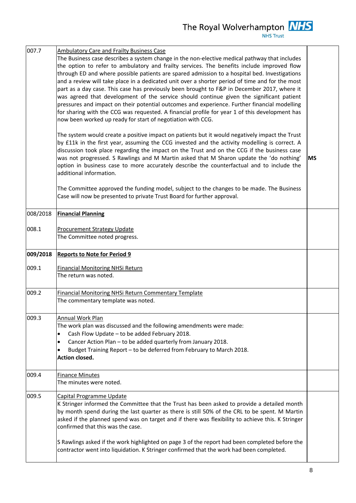| 007.7          | <b>Ambulatory Care and Frailty Business Case</b>                                                                                                                                                                                                                                                                                                                                                                                                                                                                                                                                                                                                                                                                                                                                                                                                            |            |
|----------------|-------------------------------------------------------------------------------------------------------------------------------------------------------------------------------------------------------------------------------------------------------------------------------------------------------------------------------------------------------------------------------------------------------------------------------------------------------------------------------------------------------------------------------------------------------------------------------------------------------------------------------------------------------------------------------------------------------------------------------------------------------------------------------------------------------------------------------------------------------------|------------|
|                | The Business case describes a system change in the non-elective medical pathway that includes<br>the option to refer to ambulatory and frailty services. The benefits include improved flow<br>through ED and where possible patients are spared admission to a hospital bed. Investigations<br>and a review will take place in a dedicated unit over a shorter period of time and for the most<br>part as a day case. This case has previously been brought to F&P in December 2017, where it<br>was agreed that development of the service should continue given the significant patient<br>pressures and impact on their potential outcomes and experience. Further financial modelling<br>for sharing with the CCG was requested. A financial profile for year 1 of this development has<br>now been worked up ready for start of negotiation with CCG. |            |
|                | The system would create a positive impact on patients but it would negatively impact the Trust<br>by £11k in the first year, assuming the CCG invested and the activity modelling is correct. A<br>discussion took place regarding the impact on the Trust and on the CCG if the business case<br>was not progressed. S Rawlings and M Martin asked that M Sharon update the 'do nothing'<br>option in business case to more accurately describe the counterfactual and to include the<br>additional information.                                                                                                                                                                                                                                                                                                                                           | <b>IMS</b> |
|                | The Committee approved the funding model, subject to the changes to be made. The Business<br>Case will now be presented to private Trust Board for further approval.                                                                                                                                                                                                                                                                                                                                                                                                                                                                                                                                                                                                                                                                                        |            |
| 008/2018       | <b>Financial Planning</b>                                                                                                                                                                                                                                                                                                                                                                                                                                                                                                                                                                                                                                                                                                                                                                                                                                   |            |
| 008.1          | <b>Procurement Strategy Update</b><br>The Committee noted progress.                                                                                                                                                                                                                                                                                                                                                                                                                                                                                                                                                                                                                                                                                                                                                                                         |            |
| 009/2018       | <b>Reports to Note for Period 9</b>                                                                                                                                                                                                                                                                                                                                                                                                                                                                                                                                                                                                                                                                                                                                                                                                                         |            |
| 009.1          | <b>Financial Monitoring NHSi Return</b><br>The return was noted.                                                                                                                                                                                                                                                                                                                                                                                                                                                                                                                                                                                                                                                                                                                                                                                            |            |
| 009.2          | <b>Financial Monitoring NHSi Return Commentary Template</b><br>The commentary template was noted.                                                                                                                                                                                                                                                                                                                                                                                                                                                                                                                                                                                                                                                                                                                                                           |            |
| 009.3          | Annual Work Plan<br>The work plan was discussed and the following amendments were made:<br>Cash Flow Update - to be added February 2018.<br>$\bullet$<br>Cancer Action Plan - to be added quarterly from January 2018.<br>$\bullet$<br>Budget Training Report - to be deferred from February to March 2018.<br>$\bullet$                                                                                                                                                                                                                                                                                                                                                                                                                                                                                                                                    |            |
|                | <b>Action closed.</b>                                                                                                                                                                                                                                                                                                                                                                                                                                                                                                                                                                                                                                                                                                                                                                                                                                       |            |
|                | <b>Finance Minutes</b><br>The minutes were noted.                                                                                                                                                                                                                                                                                                                                                                                                                                                                                                                                                                                                                                                                                                                                                                                                           |            |
| 009.4<br>009.5 | Capital Programme Update<br>K Stringer informed the Committee that the Trust has been asked to provide a detailed month<br>by month spend during the last quarter as there is still 50% of the CRL to be spent. M Martin<br>asked if the planned spend was on target and if there was flexibility to achieve this. K Stringer<br>confirmed that this was the case.                                                                                                                                                                                                                                                                                                                                                                                                                                                                                          |            |